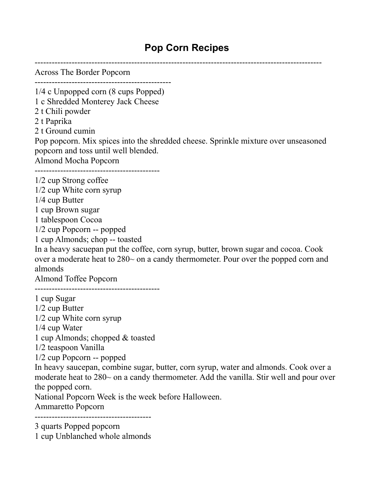# **Pop Corn Recipes**

-----------------------------------------------------------------------------------------------------

Across The Border Popcorn

------------------------------------------------ 1/4 c Unpopped corn (8 cups Popped) 1 c Shredded Monterey Jack Cheese 2 t Chili powder 2 t Paprika 2 t Ground cumin Pop popcorn. Mix spices into the shredded cheese. Sprinkle mixture over unseasoned popcorn and toss until well blended. Almond Mocha Popcorn -------------------------------------------- 1/2 cup Strong coffee 1/2 cup White corn syrup 1/4 cup Butter 1 cup Brown sugar 1 tablespoon Cocoa 1/2 cup Popcorn -- popped 1 cup Almonds; chop -- toasted In a heavy sacuepan put the coffee, corn syrup, butter, brown sugar and cocoa. Cook over a moderate heat to 280~ on a candy thermometer. Pour over the popped corn and almonds Almond Toffee Popcorn -------------------------------------------- 1 cup Sugar 1/2 cup Butter 1/2 cup White corn syrup 1/4 cup Water 1 cup Almonds; chopped & toasted 1/2 teaspoon Vanilla 1/2 cup Popcorn -- popped In heavy saucepan, combine sugar, butter, corn syrup, water and almonds. Cook over a moderate heat to 280~ on a candy thermometer. Add the vanilla. Stir well and pour over the popped corn. National Popcorn Week is the week before Halloween. Ammaretto Popcorn -----------------------------------------

3 quarts Popped popcorn

1 cup Unblanched whole almonds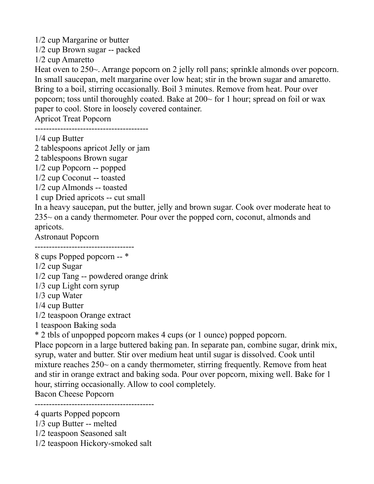1/2 cup Margarine or butter

1/2 cup Brown sugar -- packed

1/2 cup Amaretto

Heat oven to 250~. Arrange popcorn on 2 jelly roll pans; sprinkle almonds over popcorn. In small saucepan, melt margarine over low heat; stir in the brown sugar and amaretto. Bring to a boil, stirring occasionally. Boil 3 minutes. Remove from heat. Pour over popcorn; toss until thoroughly coated. Bake at 200~ for 1 hour; spread on foil or wax paper to cool. Store in loosely covered container.

Apricot Treat Popcorn

----------------------------------------

1/4 cup Butter

2 tablespoons apricot Jelly or jam

2 tablespoons Brown sugar

1/2 cup Popcorn -- popped

1/2 cup Coconut -- toasted

1/2 cup Almonds -- toasted

1 cup Dried apricots -- cut small

In a heavy saucepan, put the butter, jelly and brown sugar. Cook over moderate heat to 235~ on a candy thermometer. Pour over the popped corn, coconut, almonds and apricots.

Astronaut Popcorn

----------------------------------- 8 cups Popped popcorn -- \*

1/2 cup Sugar

1/2 cup Tang -- powdered orange drink

1/3 cup Light corn syrup

1/3 cup Water

1/4 cup Butter

1/2 teaspoon Orange extract

1 teaspoon Baking soda

\* 2 tbls of unpopped popcorn makes 4 cups (or 1 ounce) popped popcorn.

Place popcorn in a large buttered baking pan. In separate pan, combine sugar, drink mix, syrup, water and butter. Stir over medium heat until sugar is dissolved. Cook until mixture reaches 250~ on a candy thermometer, stirring frequently. Remove from heat and stir in orange extract and baking soda. Pour over popcorn, mixing well. Bake for 1 hour, stirring occasionally. Allow to cool completely.

Bacon Cheese Popcorn

------------------------------------------

4 quarts Popped popcorn

1/3 cup Butter -- melted

1/2 teaspoon Seasoned salt

1/2 teaspoon Hickory-smoked salt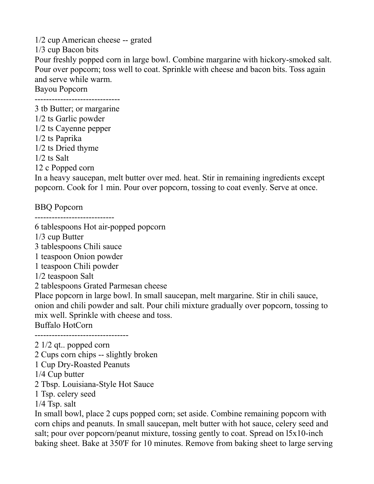1/2 cup American cheese -- grated 1/3 cup Bacon bits Pour freshly popped corn in large bowl. Combine margarine with hickory-smoked salt. Pour over popcorn; toss well to coat. Sprinkle with cheese and bacon bits. Toss again and serve while warm. Bayou Popcorn

3 tb Butter; or margarine 1/2 ts Garlic powder 1/2 ts Cayenne pepper 1/2 ts Paprika 1/2 ts Dried thyme 1/2 ts Salt 12 c Popped corn

------------------------------

In a heavy saucepan, melt butter over med. heat. Stir in remaining ingredients except popcorn. Cook for 1 min. Pour over popcorn, tossing to coat evenly. Serve at once.

### BBQ Popcorn

----------------------------

6 tablespoons Hot air-popped popcorn 1/3 cup Butter 3 tablespoons Chili sauce 1 teaspoon Onion powder 1 teaspoon Chili powder 1/2 teaspoon Salt 2 tablespoons Grated Parmesan cheese Place popcorn in large bowl. In small saucepan, melt margarine. Stir in chili sauce, onion and chili powder and salt. Pour chili mixture gradually over popcorn, tossing to mix well. Sprinkle with cheese and toss. Buffalo HotCorn --------------------------------- 2 1/2 qt.. popped corn 2 Cups corn chips -- slightly broken 1 Cup Dry-Roasted Peanuts 1/4 Cup butter 2 Tbsp. Louisiana-Style Hot Sauce 1 Tsp. celery seed 1/4 Tsp. salt In small bowl, place 2 cups popped corn; set aside. Combine remaining popcorn with

corn chips and peanuts. In small saucepan, melt butter with hot sauce, celery seed and salt; pour over popcorn/peanut mixture, tossing gently to coat. Spread on l5x10-inch baking sheet. Bake at 350'F for 10 minutes. Remove from baking sheet to large serving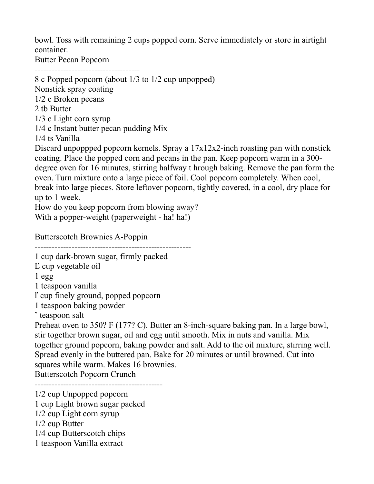bowl. Toss with remaining 2 cups popped corn. Serve immediately or store in airtight container.

Butter Pecan Popcorn

------------------------------------- 8 c Popped popcorn (about 1/3 to 1/2 cup unpopped) Nonstick spray coating 1/2 c Broken pecans 2 tb Butter 1/3 c Light corn syrup 1/4 c Instant butter pecan pudding Mix 1/4 ts Vanilla Discard unpoppped popcorn kernels. Spray a  $17x12x2$ -inch roasting pan with nonstick coating. Place the popped corn and pecans in the pan. Keep popcorn warm in a 300 degree oven for 16 minutes, stirring halfway t hrough baking. Remove the pan form the oven. Turn mixture onto a large piece of foil. Cool popcorn completely. When cool, break into large pieces. Store leftover popcorn, tightly covered, in a cool, dry place for up to 1 week. How do you keep popcorn from blowing away? With a popper-weight (paperweight - ha! ha!) Butterscotch Brownies A-Poppin ------------------------------------------------------- 1 cup dark-brown sugar, firmly packed Ľ cup vegetable oil 1 egg 1 teaspoon vanilla ľ cup finely ground, popped popcorn 1 teaspoon baking powder ˝ teaspoon salt Preheat oven to 350? F (177? C). Butter an 8-inch-square baking pan. In a large bowl,

stir together brown sugar, oil and egg until smooth. Mix in nuts and vanilla. Mix together ground popcorn, baking powder and salt. Add to the oil mixture, stirring well. Spread evenly in the buttered pan. Bake for 20 minutes or until browned. Cut into squares while warm. Makes 16 brownies.

Butterscotch Popcorn Crunch

---------------------------------------------

1/2 cup Unpopped popcorn 1 cup Light brown sugar packed 1/2 cup Light corn syrup 1/2 cup Butter 1/4 cup Butterscotch chips 1 teaspoon Vanilla extract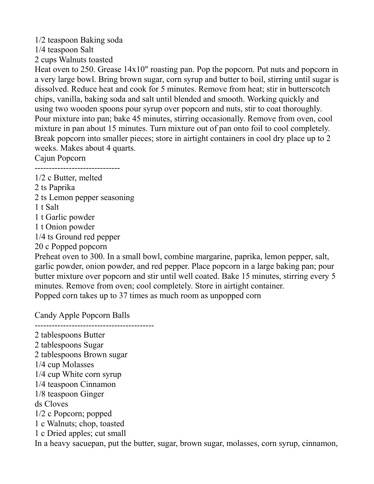1/2 teaspoon Baking soda

1/4 teaspoon Salt

2 cups Walnuts toasted

Heat oven to 250. Grease 14x10" roasting pan. Pop the popcorn. Put nuts and popcorn in a very large bowl. Bring brown sugar, corn syrup and butter to boil, stirring until sugar is dissolved. Reduce heat and cook for 5 minutes. Remove from heat; stir in butterscotch chips, vanilla, baking soda and salt until blended and smooth. Working quickly and using two wooden spoons pour syrup over popcorn and nuts, stir to coat thoroughly. Pour mixture into pan; bake 45 minutes, stirring occasionally. Remove from oven, cool mixture in pan about 15 minutes. Turn mixture out of pan onto foil to cool completely. Break popcorn into smaller pieces; store in airtight containers in cool dry place up to 2 weeks. Makes about 4 quarts.

Cajun Popcorn ------------------------------

1/2 c Butter, melted 2 ts Paprika 2 ts Lemon pepper seasoning 1 t Salt 1 t Garlic powder 1 t Onion powder 1/4 ts Ground red pepper 20 c Popped popcorn Preheat oven to 300. In a small bowl, combine margarine, paprika, lemon pepper, salt, garlic powder, onion powder, and red pepper. Place popcorn in a large baking pan; pour butter mixture over popcorn and stir until well coated. Bake 15 minutes, stirring every 5 minutes. Remove from oven; cool completely. Store in airtight container. Popped corn takes up to 37 times as much room as unpopped corn

Candy Apple Popcorn Balls

------------------------------------------

2 tablespoons Butter 2 tablespoons Sugar 2 tablespoons Brown sugar 1/4 cup Molasses 1/4 cup White corn syrup 1/4 teaspoon Cinnamon 1/8 teaspoon Ginger ds Cloves 1/2 c Popcorn; popped 1 c Walnuts; chop, toasted 1 c Dried apples; cut small In a heavy sacuepan, put the butter, sugar, brown sugar, molasses, corn syrup, cinnamon,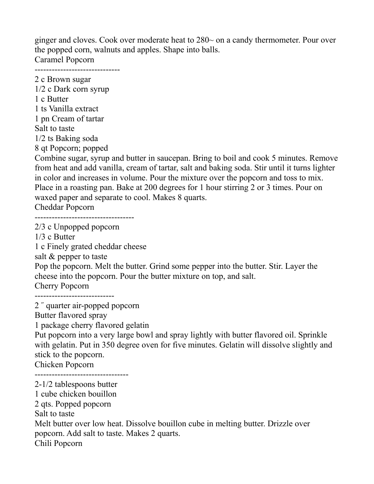ginger and cloves. Cook over moderate heat to 280~ on a candy thermometer. Pour over the popped corn, walnuts and apples. Shape into balls. Caramel Popcorn ------------------------------

2 c Brown sugar 1/2 c Dark corn syrup 1 c Butter 1 ts Vanilla extract 1 pn Cream of tartar Salt to taste 1/2 ts Baking soda 8 qt Popcorn; popped

Combine sugar, syrup and butter in saucepan. Bring to boil and cook 5 minutes. Remove from heat and add vanilla, cream of tartar, salt and baking soda. Stir until it turns lighter in color and increases in volume. Pour the mixture over the popcorn and toss to mix. Place in a roasting pan. Bake at 200 degrees for 1 hour stirring 2 or 3 times. Pour on waxed paper and separate to cool. Makes 8 quarts.

Cheddar Popcorn

-----------------------------------

2/3 c Unpopped popcorn 1/3 c Butter 1 c Finely grated cheddar cheese salt & pepper to taste Pop the popcorn. Melt the butter. Grind some pepper into the butter. Stir. Layer the cheese into the popcorn. Pour the butter mixture on top, and salt. Cherry Popcorn ----------------------------

2 ˝ quarter air-popped popcorn

Butter flavored spray

1 package cherry flavored gelatin

Put popcorn into a very large bowl and spray lightly with butter flavored oil. Sprinkle with gelatin. Put in 350 degree oven for five minutes. Gelatin will dissolve slightly and stick to the popcorn.

Chicken Popcorn

--------------------------------- 2-1/2 tablespoons butter 1 cube chicken bouillon 2 qts. Popped popcorn Salt to taste Melt butter over low heat. Dissolve bouillon cube in melting butter. Drizzle over popcorn. Add salt to taste. Makes 2 quarts. Chili Popcorn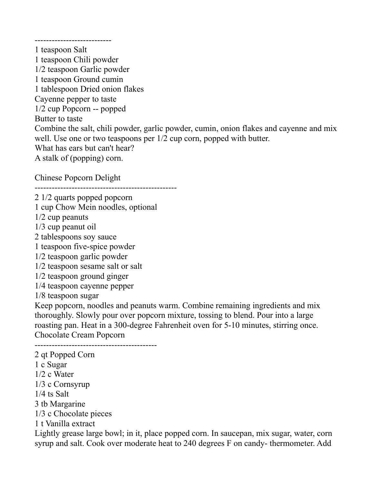1 teaspoon Salt 1 teaspoon Chili powder 1/2 teaspoon Garlic powder 1 teaspoon Ground cumin 1 tablespoon Dried onion flakes Cayenne pepper to taste 1/2 cup Popcorn -- popped Butter to taste Combine the salt, chili powder, garlic powder, cumin, onion flakes and cayenne and mix well. Use one or two teaspoons per  $1/2$  cup corn, popped with butter. What has ears but can't hear? A stalk of (popping) corn.

Chinese Popcorn Delight

---------------------------

--------------------------------------------------

2 1/2 quarts popped popcorn

1 cup Chow Mein noodles, optional

1/2 cup peanuts

1/3 cup peanut oil

2 tablespoons soy sauce

1 teaspoon five-spice powder

1/2 teaspoon garlic powder

1/2 teaspoon sesame salt or salt

1/2 teaspoon ground ginger

1/4 teaspoon cayenne pepper

1/8 teaspoon sugar

Keep popcorn, noodles and peanuts warm. Combine remaining ingredients and mix thoroughly. Slowly pour over popcorn mixture, tossing to blend. Pour into a large roasting pan. Heat in a 300-degree Fahrenheit oven for 5-10 minutes, stirring once. Chocolate Cream Popcorn

-------------------------------------------

2 qt Popped Corn

1 c Sugar

1/2 c Water

1/3 c Cornsyrup

1/4 ts Salt

3 tb Margarine

1/3 c Chocolate pieces

1 t Vanilla extract

Lightly grease large bowl; in it, place popped corn. In saucepan, mix sugar, water, corn syrup and salt. Cook over moderate heat to 240 degrees F on candy- thermometer. Add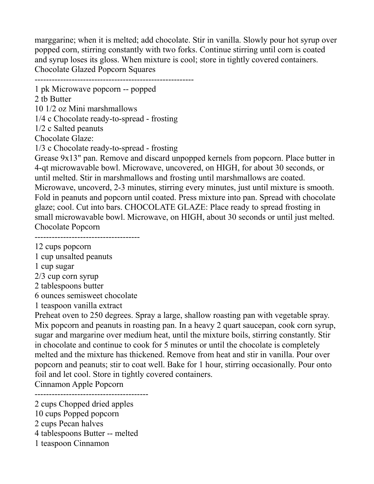marggarine; when it is melted; add chocolate. Stir in vanilla. Slowly pour hot syrup over popped corn, stirring constantly with two forks. Continue stirring until corn is coated and syrup loses its gloss. When mixture is cool; store in tightly covered containers. Chocolate Glazed Popcorn Squares

1 pk Microwave popcorn -- popped 2 tb Butter 10 1/2 oz Mini marshmallows 1/4 c Chocolate ready-to-spread - frosting 1/2 c Salted peanuts Chocolate Glaze: 1/3 c Chocolate ready-to-spread - frosting Grease 9x13" pan. Remove and discard unpopped kernels from popcorn. Place butter in 4-qt microwavable bowl. Microwave, uncovered, on HIGH, for about 30 seconds, or until melted. Stir in marshmallows and frosting until marshmallows are coated.

--------------------------------------------------------

Microwave, uncoverd, 2-3 minutes, stirring every minutes, just until mixture is smooth. Fold in peanuts and popcorn until coated. Press mixture into pan. Spread with chocolate glaze; cool. Cut into bars. CHOCOLATE GLAZE: Place ready to spread frosting in small microwavable bowl. Microwave, on HIGH, about 30 seconds or until just melted. Chocolate Popcorn

-------------------------------------

12 cups popcorn 1 cup unsalted peanuts

1 cup sugar

2/3 cup corn syrup

2 tablespoons butter

6 ounces semisweet chocolate

1 teaspoon vanilla extract

Preheat oven to 250 degrees. Spray a large, shallow roasting pan with vegetable spray. Mix popcorn and peanuts in roasting pan. In a heavy 2 quart saucepan, cook corn syrup, sugar and margarine over medium heat, until the mixture boils, stirring constantly. Stir in chocolate and continue to cook for 5 minutes or until the chocolate is completely melted and the mixture has thickened. Remove from heat and stir in vanilla. Pour over popcorn and peanuts; stir to coat well. Bake for 1 hour, stirring occasionally. Pour onto foil and let cool. Store in tightly covered containers.

Cinnamon Apple Popcorn

---------------------------------------- 2 cups Chopped dried apples

10 cups Popped popcorn

2 cups Pecan halves

4 tablespoons Butter -- melted

1 teaspoon Cinnamon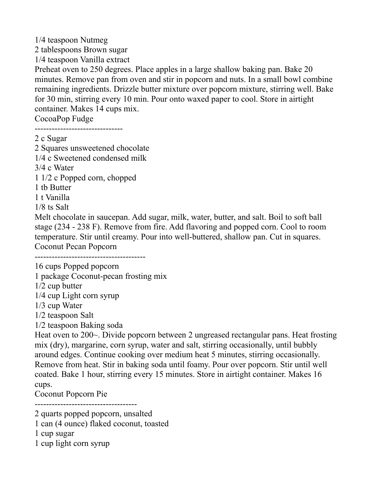1/4 teaspoon Nutmeg

2 tablespoons Brown sugar

1/4 teaspoon Vanilla extract

Preheat oven to 250 degrees. Place apples in a large shallow baking pan. Bake 20 minutes. Remove pan from oven and stir in popcorn and nuts. In a small bowl combine remaining ingredients. Drizzle butter mixture over popcorn mixture, stirring well. Bake for 30 min, stirring every 10 min. Pour onto waxed paper to cool. Store in airtight container. Makes 14 cups mix.

CocoaPop Fudge

-------------------------------

2 c Sugar

2 Squares unsweetened chocolate

1/4 c Sweetened condensed milk

3/4 c Water

1 1/2 c Popped corn, chopped

1 tb Butter

1 t Vanilla

1/8 ts Salt

Melt chocolate in saucepan. Add sugar, milk, water, butter, and salt. Boil to soft ball stage (234 - 238 F). Remove from fire. Add flavoring and popped corn. Cool to room temperature. Stir until creamy. Pour into well-buttered, shallow pan. Cut in squares. Coconut Pecan Popcorn

---------------------------------------

16 cups Popped popcorn

1 package Coconut-pecan frosting mix

1/2 cup butter

1/4 cup Light corn syrup

1/3 cup Water

1/2 teaspoon Salt

1/2 teaspoon Baking soda

Heat oven to 200~. Divide popcorn between 2 ungreased rectangular pans. Heat frosting mix (dry), margarine, corn syrup, water and salt, stirring occasionally, until bubbly around edges. Continue cooking over medium heat 5 minutes, stirring occasionally. Remove from heat. Stir in baking soda until foamy. Pour over popcorn. Stir until well coated. Bake 1 hour, stirring every 15 minutes. Store in airtight container. Makes 16 cups.

Coconut Popcorn Pie

------------------------------------

2 quarts popped popcorn, unsalted

1 can (4 ounce) flaked coconut, toasted

1 cup sugar

1 cup light corn syrup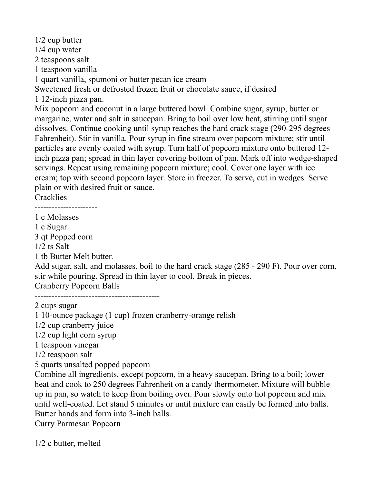1/2 cup butter 1/4 cup water 2 teaspoons salt 1 teaspoon vanilla 1 quart vanilla, spumoni or butter pecan ice cream Sweetened fresh or defrosted frozen fruit or chocolate sauce, if desired 1 12-inch pizza pan. Mix popcorn and coconut in a large buttered bowl. Combine sugar, syrup, butter or margarine, water and salt in saucepan. Bring to boil over low heat, stirring until sugar dissolves. Continue cooking until syrup reaches the hard crack stage (290-295 degrees Fahrenheit). Stir in vanilla. Pour syrup in fine stream over popcorn mixture; stir until particles are evenly coated with syrup. Turn half of popcorn mixture onto buttered 12 inch pizza pan; spread in thin layer covering bottom of pan. Mark off into wedge-shaped servings. Repeat using remaining popcorn mixture; cool. Cover one layer with ice cream; top with second popcorn layer. Store in freezer. To serve, cut in wedges. Serve plain or with desired fruit or sauce.

**Cracklies** 

----------------------

1 c Molasses

1 c Sugar

3 qt Popped corn

1/2 ts Salt

1 tb Butter Melt butter.

Add sugar, salt, and molasses. boil to the hard crack stage (285 - 290 F). Pour over corn, stir while pouring. Spread in thin layer to cool. Break in pieces.

Cranberry Popcorn Balls

--------------------------------------------

2 cups sugar

1 10-ounce package (1 cup) frozen cranberry-orange relish

1/2 cup cranberry juice

1/2 cup light corn syrup

1 teaspoon vinegar

1/2 teaspoon salt

5 quarts unsalted popped popcorn

Combine all ingredients, except popcorn, in a heavy saucepan. Bring to a boil; lower heat and cook to 250 degrees Fahrenheit on a candy thermometer. Mixture will bubble up in pan, so watch to keep from boiling over. Pour slowly onto hot popcorn and mix until well-coated. Let stand 5 minutes or until mixture can easily be formed into balls. Butter hands and form into 3-inch balls.

Curry Parmesan Popcorn

-------------------------------------

1/2 c butter, melted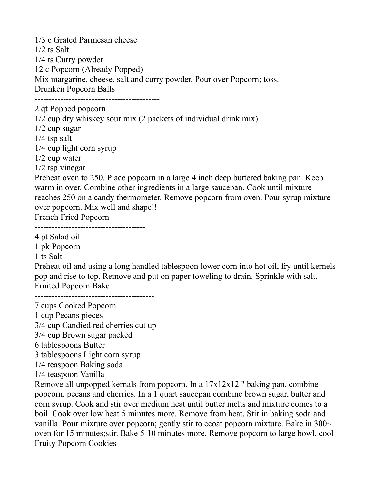1/3 c Grated Parmesan cheese 1/2 ts Salt 1/4 ts Curry powder 12 c Popcorn (Already Popped) Mix margarine, cheese, salt and curry powder. Pour over Popcorn; toss. Drunken Popcorn Balls --------------------------------------------

2 qt Popped popcorn 1/2 cup dry whiskey sour mix (2 packets of individual drink mix) 1/2 cup sugar 1/4 tsp salt 1/4 cup light corn syrup 1/2 cup water 1/2 tsp vinegar Preheat oven to 250. Place popcorn in a large 4 inch deep buttered baking pan. Keep warm in over. Combine other ingredients in a large saucepan. Cook until mixture reaches 250 on a candy thermometer. Remove popcorn from oven. Pour syrup mixture over popcorn. Mix well and shape!! French Fried Popcorn

---------------------------------------

4 pt Salad oil

1 pk Popcorn

1 ts Salt

Preheat oil and using a long handled tablespoon lower corn into hot oil, fry until kernels pop and rise to top. Remove and put on paper toweling to drain. Sprinkle with salt. Fruited Popcorn Bake

------------------------------------------

7 cups Cooked Popcorn 1 cup Pecans pieces 3/4 cup Candied red cherries cut up 3/4 cup Brown sugar packed 6 tablespoons Butter 3 tablespoons Light corn syrup 1/4 teaspoon Baking soda 1/4 teaspoon Vanilla Remove all unpopped kernals from popcorn. In a 17x12x12 " baking pan, combine popcorn, pecans and cherries. In a 1 quart saucepan combine brown sugar, butter and corn syrup. Cook and stir over medium heat until butter melts and mixture comes to a boil. Cook over low heat 5 minutes more. Remove from heat. Stir in baking soda and vanilla. Pour mixture over popcorn; gently stir to ccoat popcorn mixture. Bake in  $300<$ oven for 15 minutes;stir. Bake 5-10 minutes more. Remove popcorn to large bowl, cool Fruity Popcorn Cookies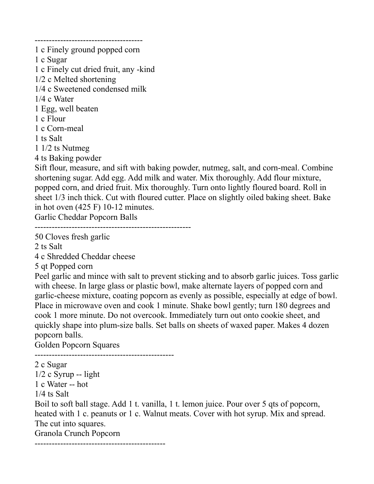--------------------------------------

1 c Finely ground popped corn

1 c Sugar

1 c Finely cut dried fruit, any -kind

1/2 c Melted shortening

1/4 c Sweetened condensed milk

1/4 c Water

1 Egg, well beaten

1 c Flour

1 c Corn-meal

1 ts Salt

1 1/2 ts Nutmeg

4 ts Baking powder

Sift flour, measure, and sift with baking powder, nutmeg, salt, and corn-meal. Combine shortening sugar. Add egg. Add milk and water. Mix thoroughly. Add flour mixture, popped corn, and dried fruit. Mix thoroughly. Turn onto lightly floured board. Roll in sheet 1/3 inch thick. Cut with floured cutter. Place on slightly oiled baking sheet. Bake in hot oven (425 F) 10-12 minutes.

Garlic Cheddar Popcorn Balls

-------------------------------------------------------

50 Cloves fresh garlic

2 ts Salt

4 c Shredded Cheddar cheese

5 qt Popped corn

Peel garlic and mince with salt to prevent sticking and to absorb garlic juices. Toss garlic with cheese. In large glass or plastic bowl, make alternate layers of popped corn and garlic-cheese mixture, coating popcorn as evenly as possible, especially at edge of bowl. Place in microwave oven and cook 1 minute. Shake bowl gently; turn 180 degrees and cook 1 more minute. Do not overcook. Immediately turn out onto cookie sheet, and quickly shape into plum-size balls. Set balls on sheets of waxed paper. Makes 4 dozen popcorn balls.

Golden Popcorn Squares

2 c Sugar  $1/2$  c Syrup -- light 1 c Water -- hot 1/4 ts Salt Boil to soft ball stage. Add 1 t. vanilla, 1 t. lemon juice. Pour over 5 qts of popcorn, heated with 1 c. peanuts or 1 c. Walnut meats. Cover with hot syrup. Mix and spread. The cut into squares. Granola Crunch Popcorn

----------------------------------------------

-------------------------------------------------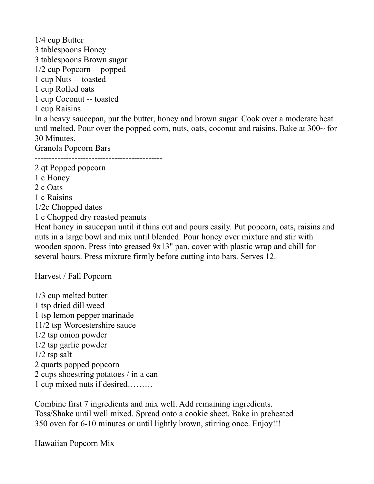1/4 cup Butter 3 tablespoons Honey 3 tablespoons Brown sugar 1/2 cup Popcorn -- popped 1 cup Nuts -- toasted 1 cup Rolled oats 1 cup Coconut -- toasted 1 cup Raisins In a heavy saucepan, put the butter, honey and brown sugar. Cook over a moderate heat untl melted. Pour over the popped corn, nuts, oats, coconut and raisins. Bake at 300~ for 30 Minutes. Granola Popcorn Bars --------------------------------------------- 2 qt Popped popcorn 1 c Honey 2 c Oats 1 c Raisins 1/2c Chopped dates 1 c Chopped dry roasted peanuts Heat honey in saucepan until it thins out and pours easily. Put popcorn, oats, raisins and nuts in a large bowl and mix until blended. Pour honey over mixture and stir with wooden spoon. Press into greased 9x13" pan, cover with plastic wrap and chill for several hours. Press mixture firmly before cutting into bars. Serves 12.

Harvest / Fall Popcorn

1/3 cup melted butter 1 tsp dried dill weed 1 tsp lemon pepper marinade 11/2 tsp Worcestershire sauce 1/2 tsp onion powder 1/2 tsp garlic powder 1/2 tsp salt 2 quarts popped popcorn 2 cups shoestring potatoes / in a can 1 cup mixed nuts if desired………

Combine first 7 ingredients and mix well. Add remaining ingredients. Toss/Shake until well mixed. Spread onto a cookie sheet. Bake in preheated 350 oven for 6-10 minutes or until lightly brown, stirring once. Enjoy!!!

Hawaiian Popcorn Mix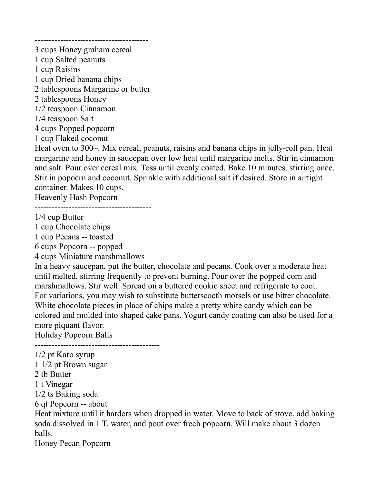----------------------------------------

3 cups Honey graham cereal

1 cup Salted peanuts

1 cup Raisins

1 cup Dried banana chips

2 tablespoons Margarine or butter

2 tablespoons Honey

1/2 teaspoon Cinnamon

1/4 teaspoon Salt

4 cups Popped popcorn

1 cup Flaked coconut

Heat oven to 300~. Mix cereal, peanuts, raisins and banana chips in jelly-roll pan. Heat margarine and honey in saucepan over low heat until margarine melts. Stir in cinnamon and salt. Pour over cereal mix. Toss until evenly coated. Bake 10 minutes, stirring once. Stir in popocrn and coconut. Sprinkle with additional salt if desired. Store in airtight container. Makes 10 cups.

Heavenly Hash Popcorn

-----------------------------------------

1/4 cup Butter

1 cup Chocolate chips

1 cup Pecans -- toasted

6 cups Popcorn -- popped

4 cups Miniature marshmallows

In a heavy saucepan, put the butter, chocolate and pecans. Cook over a moderate heat until melted, stirring frequently to prevent burning. Pour over the popped corn and marshmallows. Stir well. Spread on a buttered cookie sheet and refrigerate to cool. For variations, you may wish to substitute butterscocth morsels or use bitter chocolate. White chocolate pieces in place of chips make a pretty white candy which can be colored and molded into shaped cake pans. Yogurt candy coating can also be used for a more piquant flavor.

Holiday Popcorn Balls

-------------------------------------------- 1/2 pt Karo syrup

1 1/2 pt Brown sugar

2 th Butter

1 t Vinegar

1/2 ts Baking soda

6 qt Popcorn -- about

Heat mixture until it harders when dropped in water. Move to back of stove, add baking soda dissolved in 1 T. water, and pout over frech popcorn. Will make about 3 dozen balls.

Honey Pecan Popcorn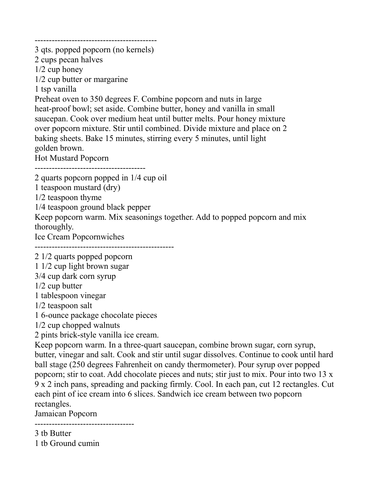------------------------------------------- 3 qts. popped popcorn (no kernels) 2 cups pecan halves 1/2 cup honey 1/2 cup butter or margarine 1 tsp vanilla Preheat oven to 350 degrees F. Combine popcorn and nuts in large heat-proof bowl; set aside. Combine butter, honey and vanilla in small saucepan. Cook over medium heat until butter melts. Pour honey mixture over popcorn mixture. Stir until combined. Divide mixture and place on 2 baking sheets. Bake 15 minutes, stirring every 5 minutes, until light golden brown. Hot Mustard Popcorn --------------------------------------- 2 quarts popcorn popped in 1/4 cup oil 1 teaspoon mustard (dry) 1/2 teaspoon thyme 1/4 teaspoon ground black pepper Keep popcorn warm. Mix seasonings together. Add to popped popcorn and mix thoroughly. Ice Cream Popcornwiches ------------------------------------------------- 2 1/2 quarts popped popcorn 1 1/2 cup light brown sugar 3/4 cup dark corn syrup 1/2 cup butter 1 tablespoon vinegar 1/2 teaspoon salt 1 6-ounce package chocolate pieces 1/2 cup chopped walnuts 2 pints brick-style vanilla ice cream. Keep popcorn warm. In a three-quart saucepan, combine brown sugar, corn syrup, butter, vinegar and salt. Cook and stir until sugar dissolves. Continue to cook until hard ball stage (250 degrees Fahrenheit on candy thermometer). Pour syrup over popped popcorn; stir to coat. Add chocolate pieces and nuts; stir just to mix. Pour into two 13 x 9 x 2 inch pans, spreading and packing firmly. Cool. In each pan, cut 12 rectangles. Cut each pint of ice cream into 6 slices. Sandwich ice cream between two popcorn rectangles. Jamaican Popcorn -----------------------------------

3 tb Butter

1 tb Ground cumin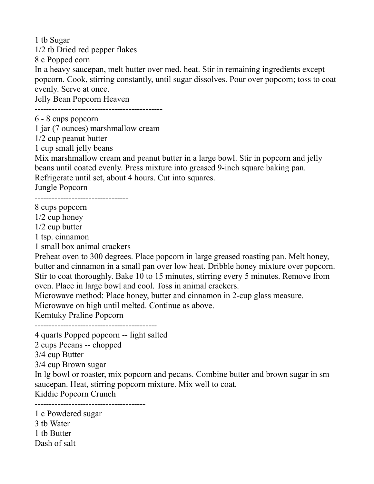1 tb Sugar 1/2 tb Dried red pepper flakes 8 c Popped corn In a heavy saucepan, melt butter over med. heat. Stir in remaining ingredients except popcorn. Cook, stirring constantly, until sugar dissolves. Pour over popcorn; toss to coat evenly. Serve at once. Jelly Bean Popcorn Heaven --------------------------------------------- 6 - 8 cups popcorn 1 jar (7 ounces) marshmallow cream 1/2 cup peanut butter 1 cup small jelly beans Mix marshmallow cream and peanut butter in a large bowl. Stir in popcorn and jelly beans until coated evenly. Press mixture into greased 9-inch square baking pan. Refrigerate until set, about 4 hours. Cut into squares. Jungle Popcorn --------------------------------- 8 cups popcorn 1/2 cup honey 1/2 cup butter 1 tsp. cinnamon 1 small box animal crackers

Preheat oven to 300 degrees. Place popcorn in large greased roasting pan. Melt honey, butter and cinnamon in a small pan over low heat. Dribble honey mixture over popcorn. Stir to coat thoroughly. Bake 10 to 15 minutes, stirring every 5 minutes. Remove from oven. Place in large bowl and cool. Toss in animal crackers.

Microwave method: Place honey, butter and cinnamon in 2-cup glass measure.

Microwave on high until melted. Continue as above.

Kemtuky Praline Popcorn

-------------------------------------------

4 quarts Popped popcorn -- light salted

2 cups Pecans -- chopped

3/4 cup Butter

3/4 cup Brown sugar

In lg bowl or roaster, mix popcorn and pecans. Combine butter and brown sugar in sm saucepan. Heat, stirring popcorn mixture. Mix well to coat. Kiddie Popcorn Crunch

---------------------------------------

1 c Powdered sugar 3 tb Water 1 tb Butter Dash of salt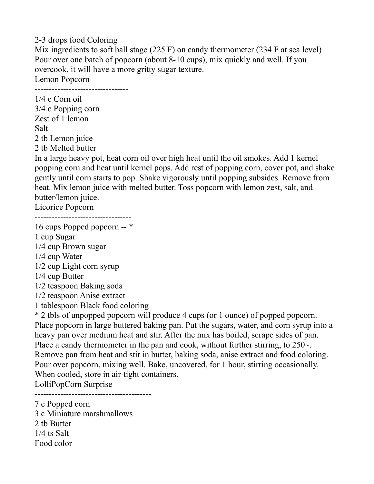2-3 drops food Coloring Mix ingredients to soft ball stage (225 F) on candy thermometer (234 F at sea level) Pour over one batch of popcorn (about 8-10 cups), mix quickly and well. If you overcook, it will have a more gritty sugar texture. Lemon Popcorn ---------------------------------

1/4 c Corn oil 3/4 c Popping corn Zest of 1 lemon Salt 2 tb Lemon juice 2 tb Melted butter

In a large heavy pot, heat corn oil over high heat until the oil smokes. Add 1 kernel popping corn and heat until kernel pops. Add rest of popping corn, cover pot, and shake gently until corn starts to pop. Shake vigorously until popping subsides. Remove from heat. Mix lemon juice with melted butter. Toss popcorn with lemon zest, salt, and butter/lemon juice.

Licorice Popcorn

----------------------------------

16 cups Popped popcorn -- \* 1 cup Sugar 1/4 cup Brown sugar

- 1/4 cup Water
- 1/2 cup Light corn syrup
- 1/4 cup Butter

1/2 teaspoon Baking soda

- 1/2 teaspoon Anise extract
- 1 tablespoon Black food coloring

\* 2 tbls of unpopped popcorn will produce 4 cups (or 1 ounce) of popped popcorn. Place popcorn in large buttered baking pan. Put the sugars, water, and corn syrup into a heavy pan over medium heat and stir. After the mix has boiled, scrape sides of pan. Place a candy thermometer in the pan and cook, without further stirring, to 250~. Remove pan from heat and stir in butter, baking soda, anise extract and food coloring. Pour over popcorn, mixing well. Bake, uncovered, for 1 hour, stirring occasionally. When cooled, store in air-tight containers.

LolliPopCorn Surprise -----------------------------------------

- 7 c Popped corn
- 3 c Miniature marshmallows
- 2 tb Butter
- 1/4 ts Salt
- Food color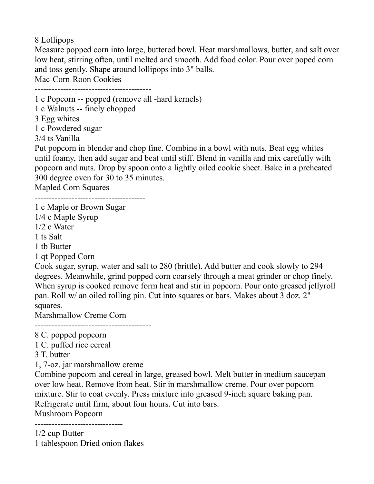8 Lollipops

Measure popped corn into large, buttered bowl. Heat marshmallows, butter, and salt over low heat, stirring often, until melted and smooth. Add food color. Pour over poped corn and toss gently. Shape around lollipops into 3" balls.

Mac-Corn-Roon Cookies -----------------------------------------

1 c Popcorn -- popped (remove all -hard kernels)

1 c Walnuts -- finely chopped

3 Egg whites

1 c Powdered sugar

3/4 ts Vanilla

Put popcorn in blender and chop fine. Combine in a bowl with nuts. Beat egg whites until foamy, then add sugar and beat until stiff. Blend in vanilla and mix carefully with popcorn and nuts. Drop by spoon onto a lightly oiled cookie sheet. Bake in a preheated 300 degree oven for 30 to 35 minutes.

Mapled Corn Squares

---------------------------------------

1 c Maple or Brown Sugar

1/4 c Maple Syrup

1/2 c Water

1 ts Salt

1 tb Butter

1 qt Popped Corn

Cook sugar, syrup, water and salt to 280 (brittle). Add butter and cook slowly to 294 degrees. Meanwhile, grind popped corn coarsely through a meat grinder or chop finely. When syrup is cooked remove form heat and stir in popcorn. Pour onto greased jellyroll pan. Roll w/ an oiled rolling pin. Cut into squares or bars. Makes about 3 doz. 2" squares.

Marshmallow Creme Corn

8 C. popped popcorn

1 C. puffed rice cereal

3 T. butter

1, 7-oz. jar marshmallow creme

-----------------------------------------

Combine popcorn and cereal in large, greased bowl. Melt butter in medium saucepan over low heat. Remove from heat. Stir in marshmallow creme. Pour over popcorn mixture. Stir to coat evenly. Press mixture into greased 9-inch square baking pan. Refrigerate until firm, about four hours. Cut into bars.

Mushroom Popcorn

-------------------------------

1/2 cup Butter 1 tablespoon Dried onion flakes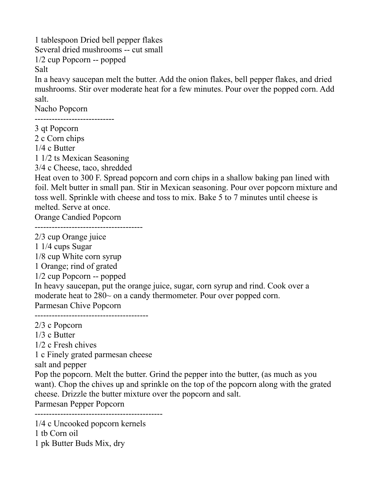1 tablespoon Dried bell pepper flakes Several dried mushrooms -- cut small 1/2 cup Popcorn -- popped Salt

In a heavy saucepan melt the butter. Add the onion flakes, bell pepper flakes, and dried mushrooms. Stir over moderate heat for a few minutes. Pour over the popped corn. Add salt.

Nacho Popcorn

----------------------------

3 qt Popcorn

2 c Corn chips

1/4 c Butter

1 1/2 ts Mexican Seasoning

3/4 c Cheese, taco, shredded

Heat oven to 300 F. Spread popcorn and corn chips in a shallow baking pan lined with foil. Melt butter in small pan. Stir in Mexican seasoning. Pour over popcorn mixture and toss well. Sprinkle with cheese and toss to mix. Bake 5 to 7 minutes until cheese is melted. Serve at once.

Orange Candied Popcorn

--------------------------------------

2/3 cup Orange juice

1 1/4 cups Sugar

1/8 cup White corn syrup

1 Orange; rind of grated

1/2 cup Popcorn -- popped

In heavy saucepan, put the orange juice, sugar, corn syrup and rind. Cook over a moderate heat to 280~ on a candy thermometer. Pour over popped corn. Parmesan Chive Popcorn

2/3 c Popcorn 1/3 c Butter 1/2 c Fresh chives 1 c Finely grated parmesan cheese salt and pepper Pop the popcorn. Melt the butter. Grind the pepper into the butter, (as much as you want). Chop the chives up and sprinkle on the top of the popcorn along with the grated cheese. Drizzle the butter mixture over the popcorn and salt. Parmesan Pepper Popcorn

---------------------------------------------

1/4 c Uncooked popcorn kernels

1 tb Corn oil

1 pk Butter Buds Mix, dry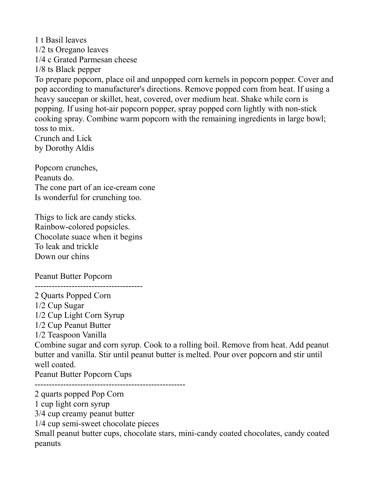1 t Basil leaves 1/2 ts Oregano leaves 1/4 c Grated Parmesan cheese 1/8 ts Black pepper To prepare popcorn, place oil and unpopped corn kernels in popcorn popper. Cover and pop according to manufacturer's directions. Remove popped corn from heat. If using a heavy saucepan or skillet, heat, covered, over medium heat. Shake while corn is popping. If using hot-air popcorn popper, spray popped corn lightly with non-stick cooking spray. Combine warm popcorn with the remaining ingredients in large bowl; toss to mix. Crunch and Lick by Dorothy Aldis Popcorn crunches, Peanuts do. The cone part of an ice-cream cone Is wonderful for crunching too. Thigs to lick are candy sticks. Rainbow-colored popsicles. Chocolate suace when it begins To leak and trickle Down our chins Peanut Butter Popcorn -------------------------------------- 2 Quarts Popped Corn 1/2 Cup Sugar 1/2 Cup Light Corn Syrup 1/2 Cup Peanut Butter 1/2 Teaspoon Vanilla Combine sugar and corn syrup. Cook to a rolling boil. Remove from heat. Add peanut butter and vanilla. Stir until peanut butter is melted. Pour over popcorn and stir until well coated. Peanut Butter Popcorn Cups ----------------------------------------------------- 2 quarts popped Pop Corn 1 cup light corn syrup 3/4 cup creamy peanut butter 1/4 cup semi-sweet chocolate pieces

Small peanut butter cups, chocolate stars, mini-candy coated chocolates, candy coated peanuts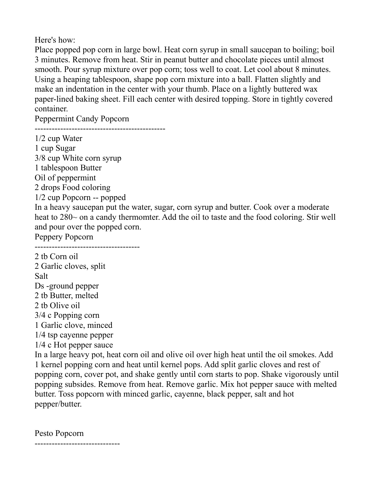Here's how:

Place popped pop corn in large bowl. Heat corn syrup in small saucepan to boiling; boil 3 minutes. Remove from heat. Stir in peanut butter and chocolate pieces until almost smooth. Pour syrup mixture over pop corn; toss well to coat. Let cool about 8 minutes. Using a heaping tablespoon, shape pop corn mixture into a ball. Flatten slightly and make an indentation in the center with your thumb. Place on a lightly buttered wax paper-lined baking sheet. Fill each center with desired topping. Store in tightly covered container.

Peppermint Candy Popcorn

----------------------------------------------

1/2 cup Water 1 cup Sugar

3/8 cup White corn syrup

1 tablespoon Butter

Oil of peppermint 2 drops Food coloring

1/2 cup Popcorn -- popped

In a heavy saucepan put the water, sugar, corn syrup and butter. Cook over a moderate heat to 280~ on a candy thermomter. Add the oil to taste and the food coloring. Stir well and pour over the popped corn.

Peppery Popcorn

-------------------------------------

2 th Corn oil 2 Garlic cloves, split Salt Ds -ground pepper 2 tb Butter, melted 2 tb Olive oil 3/4 c Popping corn 1 Garlic clove, minced 1/4 tsp cayenne pepper 1/4 c Hot pepper sauce In a large heavy pot, heat corn oil and olive oil over high heat until the oil smokes. Add 1 kernel popping corn and heat until kernel pops. Add split garlic cloves and rest of

popping corn, cover pot, and shake gently until corn starts to pop. Shake vigorously until popping subsides. Remove from heat. Remove garlic. Mix hot pepper sauce with melted butter. Toss popcorn with minced garlic, cayenne, black pepper, salt and hot pepper/butter.

Pesto Popcorn

------------------------------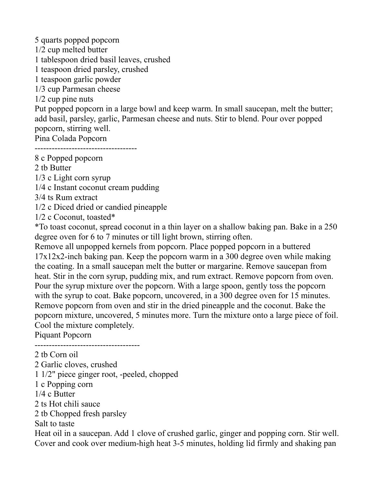5 quarts popped popcorn

1/2 cup melted butter

1 tablespoon dried basil leaves, crushed

1 teaspoon dried parsley, crushed

1 teaspoon garlic powder

1/3 cup Parmesan cheese

1/2 cup pine nuts

Put popped popcorn in a large bowl and keep warm. In small saucepan, melt the butter; add basil, parsley, garlic, Parmesan cheese and nuts. Stir to blend. Pour over popped popcorn, stirring well.

Pina Colada Popcorn

------------------------------------

8 c Popped popcorn

2 tb Butter

1/3 c Light corn syrup

1/4 c Instant coconut cream pudding

3/4 ts Rum extract

1/2 c Diced dried or candied pineapple

1/2 c Coconut, toasted\*

\*To toast coconut, spread coconut in a thin layer on a shallow baking pan. Bake in a 250 degree oven for 6 to 7 minutes or till light brown, stirring often.

Remove all unpopped kernels from popcorn. Place popped popcorn in a buttered 17x12x2-inch baking pan. Keep the popcorn warm in a 300 degree oven while making the coating. In a small saucepan melt the butter or margarine. Remove saucepan from heat. Stir in the corn syrup, pudding mix, and rum extract. Remove popcorn from oven. Pour the syrup mixture over the popcorn. With a large spoon, gently toss the popcorn with the syrup to coat. Bake popcorn, uncovered, in a 300 degree oven for 15 minutes. Remove popcorn from oven and stir in the dried pineapple and the coconut. Bake the popcorn mixture, uncovered, 5 minutes more. Turn the mixture onto a large piece of foil. Cool the mixture completely.

Piquant Popcorn

-------------------------------------

2 tb Corn oil

2 Garlic cloves, crushed

1 1/2" piece ginger root, -peeled, chopped

1 c Popping corn

1/4 c Butter

2 ts Hot chili sauce

2 tb Chopped fresh parsley

Salt to taste

Heat oil in a saucepan. Add 1 clove of crushed garlic, ginger and popping corn. Stir well. Cover and cook over medium-high heat 3-5 minutes, holding lid firmly and shaking pan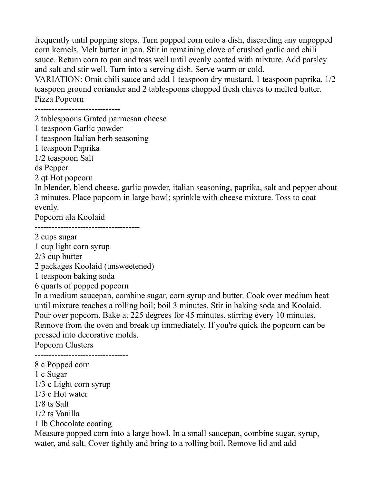frequently until popping stops. Turn popped corn onto a dish, discarding any unpopped corn kernels. Melt butter in pan. Stir in remaining clove of crushed garlic and chili sauce. Return corn to pan and toss well until evenly coated with mixture. Add parsley and salt and stir well. Turn into a serving dish. Serve warm or cold.

VARIATION: Omit chili sauce and add 1 teaspoon dry mustard, 1 teaspoon paprika, 1/2 teaspoon ground coriander and 2 tablespoons chopped fresh chives to melted butter. Pizza Popcorn

------------------------------

2 tablespoons Grated parmesan cheese

1 teaspoon Garlic powder

1 teaspoon Italian herb seasoning

1 teaspoon Paprika

1/2 teaspoon Salt

ds Pepper

2 qt Hot popcorn

In blender, blend cheese, garlic powder, italian seasoning, paprika, salt and pepper about 3 minutes. Place popcorn in large bowl; sprinkle with cheese mixture. Toss to coat evenly.

Popcorn ala Koolaid

------------------------------------- 2 cups sugar

1 cup light corn syrup

2/3 cup butter

2 packages Koolaid (unsweetened)

1 teaspoon baking soda

6 quarts of popped popcorn

In a medium saucepan, combine sugar, corn syrup and butter. Cook over medium heat until mixture reaches a rolling boil; boil 3 minutes. Stir in baking soda and Koolaid. Pour over popcorn. Bake at 225 degrees for 45 minutes, stirring every 10 minutes. Remove from the oven and break up immediately. If you're quick the popcorn can be pressed into decorative molds.

Popcorn Clusters

---------------------------------

8 c Popped corn

1 c Sugar

1/3 c Light corn syrup

1/3 c Hot water

1/8 ts Salt

1/2 ts Vanilla

1 lb Chocolate coating

Measure popped corn into a large bowl. In a small saucepan, combine sugar, syrup, water, and salt. Cover tightly and bring to a rolling boil. Remove lid and add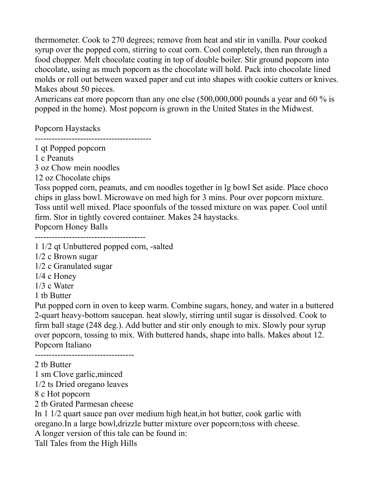thermometer. Cook to 270 degrees; remove from heat and stir in vanilla. Pour cooked syrup over the popped corn, stirring to coat corn. Cool completely, then run through a food chopper. Melt chocolate coating in top of double boiler. Stir ground popcorn into chocolate, using as much popcorn as the chocolate will hold. Pack into chocolate lined molds or roll out between waxed paper and cut into shapes with cookie cutters or knives. Makes about 50 pieces.

Americans eat more popcorn than any one else (500,000,000 pounds a year and 60 % is popped in the home). Most popcorn is grown in the United States in the Midwest.

Popcorn Haystacks

-----------------------------------------

1 qt Popped popcorn

1 c Peanuts

3 oz Chow mein noodles

12 oz Chocolate chips

Toss popped corn, peanuts, and cm noodles together in lg bowl Set aside. Place choco chips in glass bowl. Microwave on med high for 3 mins. Pour over popcorn mixture. Toss until well mixed. Place spoonfuls of the tossed mixture on wax paper. Cool until firm. Stor in tightly covered container. Makes 24 haystacks.

Popcorn Honey Balls

---------------------------------------

1 1/2 qt Unbuttered popped corn, -salted

1/2 c Brown sugar

1/2 c Granulated sugar

1/4 c Honey

1/3 c Water

1 tb Butter

Put popped corn in oven to keep warm. Combine sugars, honey, and water in a buttered 2-quart heavy-bottom saucepan. heat slowly, stirring until sugar is dissolved. Cook to firm ball stage (248 deg.). Add butter and stir only enough to mix. Slowly pour syrup over popcorn, tossing to mix. With buttered hands, shape into balls. Makes about 12. Popcorn Italiano

2 th Butter

1 sm Clove garlic,minced

1/2 ts Dried oregano leaves

-----------------------------------

8 c Hot popcorn

2 tb Grated Parmesan cheese

In 1 1/2 quart sauce pan over medium high heat,in hot butter, cook garlic with oregano.In a large bowl,drizzle butter mixture over popcorn;toss with cheese. A longer version of this tale can be found in: Tall Tales from the High Hills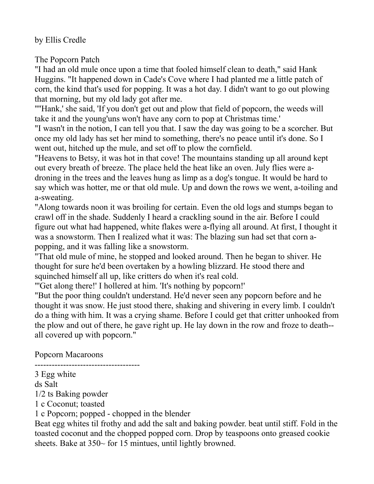# by Ellis Credle

The Popcorn Patch

"I had an old mule once upon a time that fooled himself clean to death," said Hank Huggins. "It happened down in Cade's Cove where I had planted me a little patch of corn, the kind that's used for popping. It was a hot day. I didn't want to go out plowing that morning, but my old lady got after me.

""Hank,' she said, 'If you don't get out and plow that field of popcorn, the weeds will take it and the young'uns won't have any corn to pop at Christmas time.'

"I wasn't in the notion, I can tell you that. I saw the day was going to be a scorcher. But once my old lady has set her mind to something, there's no peace until it's done. So I went out, hitched up the mule, and set off to plow the cornfield.

"Heavens to Betsy, it was hot in that cove! The mountains standing up all around kept out every breath of breeze. The place held the heat like an oven. July flies were adroning in the trees and the leaves hung as limp as a dog's tongue. It would be hard to say which was hotter, me or that old mule. Up and down the rows we went, a-toiling and a-sweating.

"Along towards noon it was broiling for certain. Even the old logs and stumps began to crawl off in the shade. Suddenly I heard a crackling sound in the air. Before I could figure out what had happened, white flakes were a-flying all around. At first, I thought it was a snowstorm. Then I realized what it was: The blazing sun had set that corn apopping, and it was falling like a snowstorm.

"That old mule of mine, he stopped and looked around. Then he began to shiver. He thought for sure he'd been overtaken by a howling blizzard. He stood there and squinched himself all up, like critters do when it's real cold.

"'Get along there!' I hollered at him. 'It's nothing by popcorn!'

"But the poor thing couldn't understand. He'd never seen any popcorn before and he thought it was snow. He just stood there, shaking and shivering in every limb. I couldn't do a thing with him. It was a crying shame. Before I could get that critter unhooked from the plow and out of there, he gave right up. He lay down in the row and froze to death- all covered up with popcorn."

Popcorn Macaroons

-------------------------------------

3 Egg white

ds Salt

1/2 ts Baking powder

1 c Coconut; toasted

1 c Popcorn; popped - chopped in the blender

Beat egg whites til frothy and add the salt and baking powder. beat until stiff. Fold in the toasted coconut and the chopped popped corn. Drop by teaspoons onto greased cookie sheets. Bake at 350~ for 15 mintues, until lightly browned.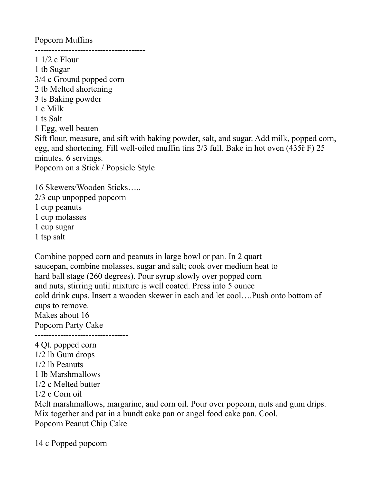#### Popcorn Muffins ---------------------------------------

1 1/2 c Flour 1 tb Sugar 3/4 c Ground popped corn 2 tb Melted shortening 3 ts Baking powder 1 c Milk 1 ts Salt 1 Egg, well beaten Sift flour, measure, and sift with baking powder, salt, and sugar. Add milk, popped corn, egg, and shortening. Fill well-oiled muffin tins 2/3 full. Bake in hot oven (435ř F) 25 minutes. 6 servings. Popcorn on a Stick / Popsicle Style 16 Skewers/Wooden Sticks…..

- 2/3 cup unpopped popcorn 1 cup peanuts 1 cup molasses 1 cup sugar
- 1 tsp salt

Combine popped corn and peanuts in large bowl or pan. In 2 quart saucepan, combine molasses, sugar and salt; cook over medium heat to hard ball stage (260 degrees). Pour syrup slowly over popped corn and nuts, stirring until mixture is well coated. Press into 5 ounce cold drink cups. Insert a wooden skewer in each and let cool….Push onto bottom of cups to remove. Makes about 16 Popcorn Party Cake ---------------------------------

4 Qt. popped corn 1/2 lb Gum drops 1/2 lb Peanuts 1 lb Marshmallows 1/2 c Melted butter 1/2 c Corn oil Melt marshmallows, margarine, and corn oil. Pour over popcorn, nuts and gum drips. Mix together and pat in a bundt cake pan or angel food cake pan. Cool. Popcorn Peanut Chip Cake

14 c Popped popcorn

-------------------------------------------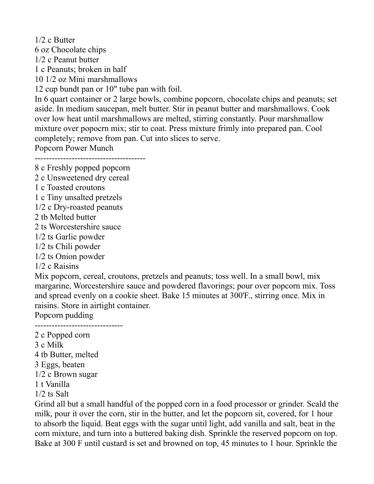1/2 c Butter 6 oz Chocolate chips 1/2 c Peanut butter 1 c Peanuts; broken in half 10 1/2 oz Mini marshmallows 12 cup bundt pan or 10" tube pan with foil.

In 6 quart container or 2 large bowls, combine popcorn, chocolate chips and peanuts; set aside. In medium saucepan, melt butter. Stir in peanut butter and marshmallows. Cook over low heat until marshmallows are melted, stirring constantly. Pour marshmallow mixture over popocrn mix; stir to coat. Press mixture frimly into prepared pan. Cool completely; remove from pan. Cut into slices to serve.

Popcorn Power Munch

---------------------------------------

8 c Freshly popped popcorn

2 c Unsweetened dry cereal

1 c Toasted croutons

1 c Tiny unsalted pretzels

1/2 c Dry-roasted peanuts

2 tb Melted butter

2 ts Worcestershire sauce

- 1/2 ts Garlic powder
- 1/2 ts Chili powder

1/2 ts Onion powder

1/2 c Raisins

Mix popcorn, cereal, croutons, pretzels and peanuts; toss well. In a small bowl, mix margarine, Worcestershire sauce and powdered flavorings; pour over popcorn mix. Toss and spread evenly on a cookie sheet. Bake 15 minutes at 300'F., stirring once. Mix in raisins. Store in airtight container.

Popcorn pudding

-------------------------------

2 c Popped corn

3 c Milk

4 tb Butter, melted

3 Eggs, beaten

1/2 c Brown sugar

1 t Vanilla

1/2 ts Salt

Grind all but a small handful of the popped corn in a food processor or grinder. Scald the milk, pour it over the corn, stir in the butter, and let the popcorn sit, covered, for 1 hour to absorb the liquid. Beat eggs with the sugar until light, add vanilla and salt, beat in the corn mixture, and turn into a buttered baking dish. Sprinkle the reserved popcorn on top. Bake at 300 F until custard is set and browned on top, 45 minutes to 1 hour. Sprinkle the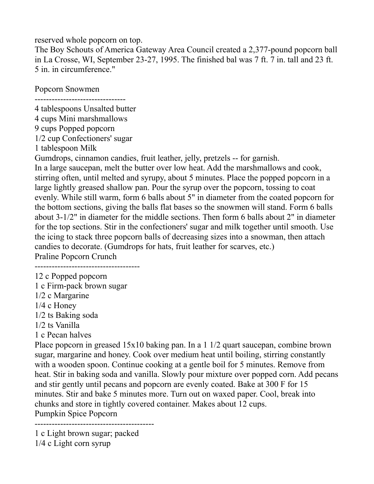reserved whole popcorn on top.

The Boy Schouts of America Gateway Area Council created a 2,377-pound popcorn ball in La Crosse, WI, September 23-27, 1995. The finished bal was 7 ft. 7 in. tall and 23 ft. 5 in. in circumference."

Popcorn Snowmen

-------------------------------- 4 tablespoons Unsalted butter 4 cups Mini marshmallows 9 cups Popped popcorn 1/2 cup Confectioners' sugar 1 tablespoon Milk

Gumdrops, cinnamon candies, fruit leather, jelly, pretzels -- for garnish.

In a large saucepan, melt the butter over low heat. Add the marshmallows and cook, stirring often, until melted and syrupy, about 5 minutes. Place the popped popcorn in a large lightly greased shallow pan. Pour the syrup over the popcorn, tossing to coat evenly. While still warm, form 6 balls about 5" in diameter from the coated popcorn for the bottom sections, giving the balls flat bases so the snowmen will stand. Form 6 balls about 3-1/2" in diameter for the middle sections. Then form 6 balls about 2" in diameter for the top sections. Stir in the confectioners' sugar and milk together until smooth. Use the icing to stack three popcorn balls of decreasing sizes into a snowman, then attach candies to decorate. (Gumdrops for hats, fruit leather for scarves, etc.) Praline Popcorn Crunch

-------------------------------------

12 c Popped popcorn

1 c Firm-pack brown sugar

1/2 c Margarine

1/4 c Honey

1/2 ts Baking soda

1/2 ts Vanilla

1 c Pecan halves

Place popcorn in greased 15x10 baking pan. In a 1 1/2 quart saucepan, combine brown sugar, margarine and honey. Cook over medium heat until boiling, stirring constantly with a wooden spoon. Continue cooking at a gentle boil for 5 minutes. Remove from heat. Stir in baking soda and vanilla. Slowly pour mixture over popped corn. Add pecans and stir gently until pecans and popcorn are evenly coated. Bake at 300 F for 15 minutes. Stir and bake 5 minutes more. Turn out on waxed paper. Cool, break into chunks and store in tightly covered container. Makes about 12 cups. Pumpkin Spice Popcorn

------------------------------------------

1 c Light brown sugar; packed 1/4 c Light corn syrup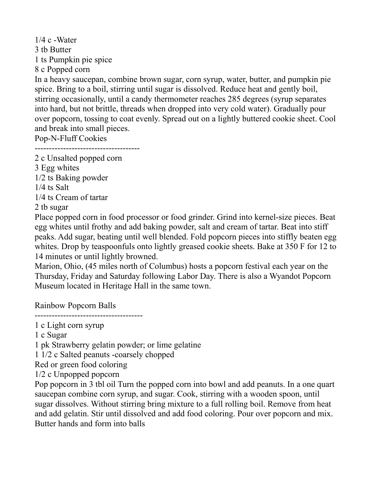1/4 c -Water 3 tb Butter 1 ts Pumpkin pie spice 8 c Popped corn

In a heavy saucepan, combine brown sugar, corn syrup, water, butter, and pumpkin pie spice. Bring to a boil, stirring until sugar is dissolved. Reduce heat and gently boil, stirring occasionally, until a candy thermometer reaches 285 degrees (syrup separates into hard, but not brittle, threads when dropped into very cold water). Gradually pour over popcorn, tossing to coat evenly. Spread out on a lightly buttered cookie sheet. Cool and break into small pieces.

Pop-N-Fluff Cookies

-------------------------------------

2 c Unsalted popped corn

3 Egg whites

1/2 ts Baking powder

1/4 ts Salt

1/4 ts Cream of tartar

2 tb sugar

Place popped corn in food processor or food grinder. Grind into kernel-size pieces. Beat egg whites until frothy and add baking powder, salt and cream of tartar. Beat into stiff peaks. Add sugar, beating until well blended. Fold popcorn pieces into stiffly beaten egg whites. Drop by teaspoonfuls onto lightly greased cookie sheets. Bake at 350 F for 12 to 14 minutes or until lightly browned.

Marion, Ohio, (45 miles north of Columbus) hosts a popcorn festival each year on the Thursday, Friday and Saturday following Labor Day. There is also a Wyandot Popcorn Museum located in Heritage Hall in the same town.

Rainbow Popcorn Balls --------------------------------------

1 c Light corn syrup

1 c Sugar

1 pk Strawberry gelatin powder; or lime gelatine

1 1/2 c Salted peanuts -coarsely chopped

Red or green food coloring

1/2 c Unpopped popcorn

Pop popcorn in 3 tbl oil Turn the popped corn into bowl and add peanuts. In a one quart saucepan combine corn syrup, and sugar. Cook, stirring with a wooden spoon, until sugar dissolves. Without stirring bring mixture to a full rolling boil. Remove from heat and add gelatin. Stir until dissolved and add food coloring. Pour over popcorn and mix. Butter hands and form into balls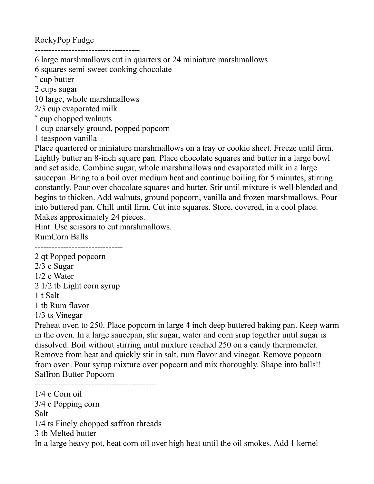RockyPop Fudge

-------------------------------------

6 large marshmallows cut in quarters or 24 miniature marshmallows

6 squares semi-sweet cooking chocolate

˝ cup butter

2 cups sugar

10 large, whole marshmallows

2/3 cup evaporated milk

˝ cup chopped walnuts

1 cup coarsely ground, popped popcorn

1 teaspoon vanilla

Place quartered or miniature marshmallows on a tray or cookie sheet. Freeze until firm. Lightly butter an 8-inch square pan. Place chocolate squares and butter in a large bowl and set aside. Combine sugar, whole marshmallows and evaporated milk in a large saucepan. Bring to a boil over medium heat and continue boiling for 5 minutes, stirring constantly. Pour over chocolate squares and butter. Stir until mixture is well blended and begins to thicken. Add walnuts, ground popcorn, vanilla and frozen marshmallows. Pour into buttered pan. Chill until firm. Cut into squares. Store, covered, in a cool place. Makes approximately 24 pieces.

Hint: Use scissors to cut marshmallows. RumCorn Balls

2 qt Popped popcorn 2/3 c Sugar 1/2 c Water 2 1/2 tb Light corn syrup 1 t Salt 1 tb Rum flavor 1/3 ts Vinegar

-------------------------------

Preheat oven to 250. Place popcorn in large 4 inch deep buttered baking pan. Keep warm in the oven. In a large saucepan, stir sugar, water and corn srup together until sugar is dissolved. Boil without stirring until mixture reached 250 on a candy thermometer. Remove from heat and quickly stir in salt, rum flavor and vinegar. Remove popcorn from oven. Pour syrup mixture over popcorn and mix thoroughly. Shape into balls!! Saffron Butter Popcorn -------------------------------------------

1/4 c Corn oil 3/4 c Popping corn Salt 1/4 ts Finely chopped saffron threads 3 tb Melted butter In a large heavy pot, heat corn oil over high heat until the oil smokes. Add 1 kernel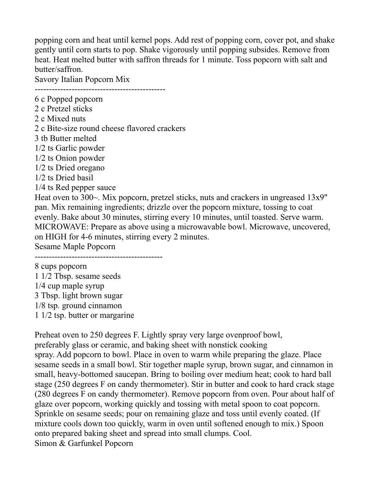popping corn and heat until kernel pops. Add rest of popping corn, cover pot, and shake gently until corn starts to pop. Shake vigorously until popping subsides. Remove from heat. Heat melted butter with saffron threads for 1 minute. Toss popcorn with salt and butter/saffron.

Savory Italian Popcorn Mix

----------------------------------------------

6 c Popped popcorn 2 c Pretzel sticks 2 c Mixed nuts 2 c Bite-size round cheese flavored crackers 3 tb Butter melted 1/2 ts Garlic powder 1/2 ts Onion powder 1/2 ts Dried oregano 1/2 ts Dried basil 1/4 ts Red pepper sauce Heat oven to 300~. Mix popcorn, pretzel sticks, nuts and crackers in ungreased 13x9" pan. Mix remaining ingredients; drizzle over the popcorn mixture, tossing to coat evenly. Bake about 30 minutes, stirring every 10 minutes, until toasted. Serve warm. MICROWAVE: Prepare as above using a microwavable bowl. Microwave, uncovered, on HIGH for 4-6 minutes, stirring every 2 minutes. Sesame Maple Popcorn ---------------------------------------------

8 cups popcorn 1 1/2 Tbsp. sesame seeds 1/4 cup maple syrup 3 Tbsp. light brown sugar 1/8 tsp. ground cinnamon 1 1/2 tsp. butter or margarine

Preheat oven to 250 degrees F. Lightly spray very large ovenproof bowl, preferably glass or ceramic, and baking sheet with nonstick cooking spray. Add popcorn to bowl. Place in oven to warm while preparing the glaze. Place sesame seeds in a small bowl. Stir together maple syrup, brown sugar, and cinnamon in small, heavy-bottomed saucepan. Bring to boiling over medium heat; cook to hard ball stage (250 degrees F on candy thermometer). Stir in butter and cook to hard crack stage (280 degrees F on candy thermometer). Remove popcorn from oven. Pour about half of glaze over popcorn, working quickly and tossing with metal spoon to coat popcorn. Sprinkle on sesame seeds; pour on remaining glaze and toss until evenly coated. (If mixture cools down too quickly, warm in oven until softened enough to mix.) Spoon onto prepared baking sheet and spread into small clumps. Cool. Simon & Garfunkel Popcorn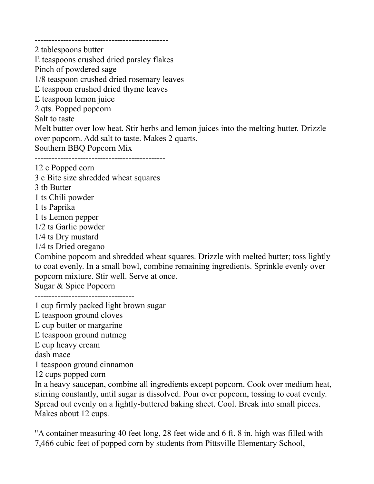----------------------------------------------- 2 tablespoons butter Ľ teaspoons crushed dried parsley flakes Pinch of powdered sage 1/8 teaspoon crushed dried rosemary leaves Ľ teaspoon crushed dried thyme leaves Ľ teaspoon lemon juice 2 qts. Popped popcorn Salt to taste Melt butter over low heat. Stir herbs and lemon juices into the melting butter. Drizzle over popcorn. Add salt to taste. Makes 2 quarts. Southern BBQ Popcorn Mix ---------------------------------------------- 12 c Popped corn 3 c Bite size shredded wheat squares 3 tb Butter 1 ts Chili powder

1 ts Paprika

1 ts Lemon pepper

1/2 ts Garlic powder

1/4 ts Dry mustard

1/4 ts Dried oregano

Combine popcorn and shredded wheat squares. Drizzle with melted butter; toss lightly to coat evenly. In a small bowl, combine remaining ingredients. Sprinkle evenly over popcorn mixture. Stir well. Serve at once.

Sugar & Spice Popcorn

-----------------------------------

1 cup firmly packed light brown sugar

Ľ teaspoon ground cloves

Ľ cup butter or margarine

Ľ teaspoon ground nutmeg

Ľ cup heavy cream

dash mace

1 teaspoon ground cinnamon

12 cups popped corn

In a heavy saucepan, combine all ingredients except popcorn. Cook over medium heat, stirring constantly, until sugar is dissolved. Pour over popcorn, tossing to coat evenly. Spread out evenly on a lightly-buttered baking sheet. Cool. Break into small pieces. Makes about 12 cups.

"A container measuring 40 feet long, 28 feet wide and 6 ft. 8 in. high was filled with 7,466 cubic feet of popped corn by students from Pittsville Elementary School,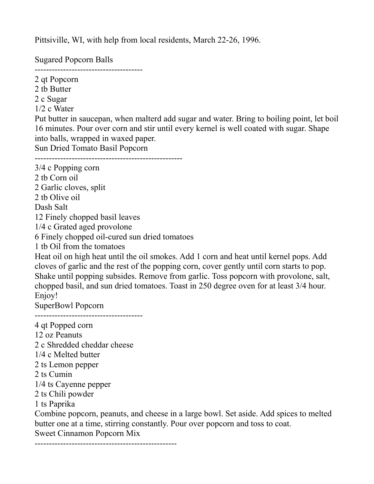Pittsiville, WI, with help from local residents, March 22-26, 1996.

Sugared Popcorn Balls

-------------------------------------- 2 qt Popcorn 2 tb Butter 2 c Sugar 1/2 c Water Put butter in saucepan, when malterd add sugar and water. Bring to boiling point, let boil 16 minutes. Pour over corn and stir until every kernel is well coated with sugar. Shape into balls, wrapped in waxed paper. Sun Dried Tomato Basil Popcorn ---------------------------------------------------- 3/4 c Popping corn 2 tb Corn oil 2 Garlic cloves, split 2 tb Olive oil Dash Salt 12 Finely chopped basil leaves 1/4 c Grated aged provolone 6 Finely chopped oil-cured sun dried tomatoes 1 tb Oil from the tomatoes Heat oil on high heat until the oil smokes. Add 1 corn and heat until kernel pops. Add cloves of garlic and the rest of the popping corn, cover gently until corn starts to pop. Shake until popping subsides. Remove from garlic. Toss popcorn with provolone, salt, chopped basil, and sun dried tomatoes. Toast in 250 degree oven for at least 3/4 hour. Enjoy! SuperBowl Popcorn -------------------------------------- 4 qt Popped corn 12 oz Peanuts 2 c Shredded cheddar cheese 1/4 c Melted butter 2 ts Lemon pepper 2 ts Cumin 1/4 ts Cayenne pepper 2 ts Chili powder 1 ts Paprika Combine popcorn, peanuts, and cheese in a large bowl. Set aside. Add spices to melted butter one at a time, stirring constantly. Pour over popcorn and toss to coat. Sweet Cinnamon Popcorn Mix --------------------------------------------------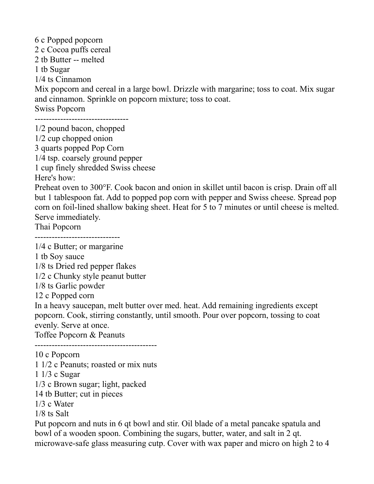6 c Popped popcorn 2 c Cocoa puffs cereal 2 tb Butter -- melted 1 tb Sugar 1/4 ts Cinnamon Mix popcorn and cereal in a large bowl. Drizzle with margarine; toss to coat. Mix sugar and cinnamon. Sprinkle on popcorn mixture; toss to coat. Swiss Popcorn --------------------------------- 1/2 pound bacon, chopped 1/2 cup chopped onion 3 quarts popped Pop Corn 1/4 tsp. coarsely ground pepper 1 cup finely shredded Swiss cheese Here's how: Preheat oven to 300°F. Cook bacon and onion in skillet until bacon is crisp. Drain off all but 1 tablespoon fat. Add to popped pop corn with pepper and Swiss cheese. Spread pop corn on foil-lined shallow baking sheet. Heat for 5 to 7 minutes or until cheese is melted. Serve immediately. Thai Popcorn ------------------------------ 1/4 c Butter; or margarine 1 tb Soy sauce 1/8 ts Dried red pepper flakes 1/2 c Chunky style peanut butter 1/8 ts Garlic powder 12 c Popped corn In a heavy saucepan, melt butter over med. heat. Add remaining ingredients except popcorn. Cook, stirring constantly, until smooth. Pour over popcorn, tossing to coat evenly. Serve at once. Toffee Popcorn & Peanuts ------------------------------------------- 10 c Popcorn 1 1/2 c Peanuts; roasted or mix nuts 1 1/3 c Sugar 1/3 c Brown sugar; light, packed 14 tb Butter; cut in pieces 1/3 c Water 1/8 ts Salt Put popcorn and nuts in 6 qt bowl and stir. Oil blade of a metal pancake spatula and bowl of a wooden spoon. Combining the sugars, butter, water, and salt in 2 qt.

microwave-safe glass measuring cutp. Cover with wax paper and micro on high 2 to 4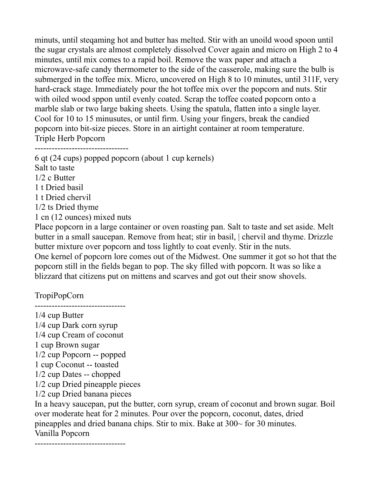minuts, until steqaming hot and butter has melted. Stir with an unoild wood spoon until the sugar crystals are almost completely dissolved Cover again and micro on High 2 to 4 minutes, until mix comes to a rapid boil. Remove the wax paper and attach a microwave-safe candy thermometer to the side of the casserole, making sure the bulb is submerged in the toffee mix. Micro, uncovered on High 8 to 10 minutes, until 311F, very hard-crack stage. Immediately pour the hot toffee mix over the popcorn and nuts. Stir with oiled wood sppon until evenly coated. Scrap the toffee coated popcorn onto a marble slab or two large baking sheets. Using the spatula, flatten into a single layer. Cool for 10 to 15 minusutes, or until firm. Using your fingers, break the candied popcorn into bit-size pieces. Store in an airtight container at room temperature. Triple Herb Popcorn

---------------------------------

6 qt (24 cups) popped popcorn (about 1 cup kernels) Salt to taste 1/2 c Butter 1 t Dried basil 1 t Dried chervil 1/2 ts Dried thyme 1 cn (12 ounces) mixed nuts Place popcorn in a large container or oven roasting pan. Salt to taste and set aside. Melt

--------------------------------

butter in a small saucepan. Remove from heat; stir in basil, | chervil and thyme. Drizzle butter mixture over popcorn and toss lightly to coat evenly. Stir in the nuts. One kernel of popcorn lore comes out of the Midwest. One summer it got so hot that the popcorn still in the fields began to pop. The sky filled with popcorn. It was so like a blizzard that citizens put on mittens and scarves and got out their snow shovels.

## TropiPopCorn

1/4 cup Butter 1/4 cup Dark corn syrup 1/4 cup Cream of coconut 1 cup Brown sugar 1/2 cup Popcorn -- popped 1 cup Coconut -- toasted 1/2 cup Dates -- chopped 1/2 cup Dried pineapple pieces 1/2 cup Dried banana pieces In a heavy saucepan, put the butter, corn syrup, cream of coconut and brown sugar. Boil over moderate heat for 2 minutes. Pour over the popcorn, coconut, dates, dried pineapples and dried banana chips. Stir to mix. Bake at 300~ for 30 minutes. Vanilla Popcorn

--------------------------------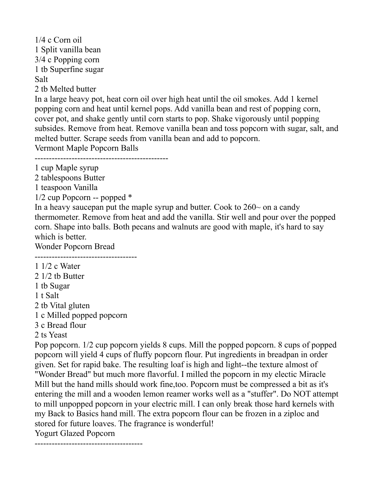1/4 c Corn oil 1 Split vanilla bean 3/4 c Popping corn 1 tb Superfine sugar Salt

2 tb Melted butter

In a large heavy pot, heat corn oil over high heat until the oil smokes. Add 1 kernel popping corn and heat until kernel pops. Add vanilla bean and rest of popping corn, cover pot, and shake gently until corn starts to pop. Shake vigorously until popping subsides. Remove from heat. Remove vanilla bean and toss popcorn with sugar, salt, and melted butter. Scrape seeds from vanilla bean and add to popcorn. Vermont Maple Popcorn Balls

-----------------------------------------------

1 cup Maple syrup

2 tablespoons Butter

1 teaspoon Vanilla

1/2 cup Popcorn -- popped \*

In a heavy saucepan put the maple syrup and butter. Cook to  $260\sim$  on a candy thermometer. Remove from heat and add the vanilla. Stir well and pour over the popped corn. Shape into balls. Both pecans and walnuts are good with maple, it's hard to say which is better.

Wonder Popcorn Bread

------------------------------------ 1 1/2 c Water

2 1/2 tb Butter

1 tb Sugar

1 t Salt

2 tb Vital gluten

1 c Milled popped popcorn

3 c Bread flour

2 ts Yeast

Pop popcorn. 1/2 cup popcorn yields 8 cups. Mill the popped popcorn. 8 cups of popped popcorn will yield 4 cups of fluffy popcorn flour. Put ingredients in breadpan in order given. Set for rapid bake. The resulting loaf is high and light--the texture almost of "Wonder Bread" but much more flavorful. I milled the popcorn in my electic Miracle Mill but the hand mills should work fine,too. Popcorn must be compressed a bit as it's entering the mill and a wooden lemon reamer works well as a "stuffer". Do NOT attempt to mill unpopped popcorn in your electric mill. I can only break those hard kernels with my Back to Basics hand mill. The extra popcorn flour can be frozen in a ziploc and stored for future loaves. The fragrance is wonderful!

Yogurt Glazed Popcorn

--------------------------------------